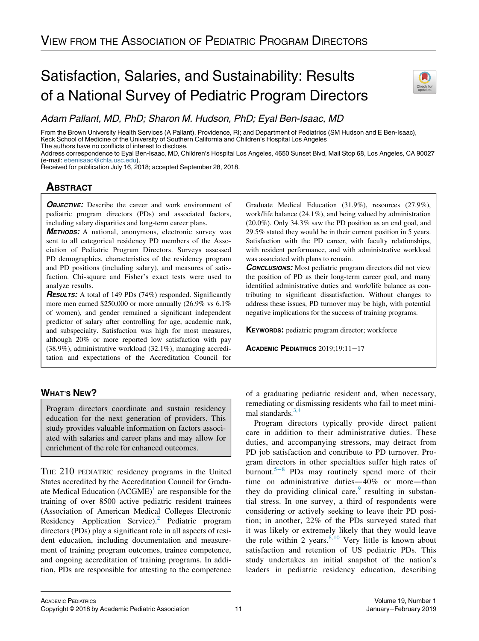# Satisfaction, Salaries, and Sustainability: Results of a National Survey of Pediatric Program Directors



Adam Pallant, MD, PhD; Sharon M. Hudson, PhD; Eyal Ben-Isaac, MD

From the Brown University Health Services (A Pallant), Providence, RI; and Department of Pediatrics (SM Hudson and E Ben-Isaac), Keck School of Medicine of the University of Southern California and Children's Hospital Los Angeles The authors have no conflicts of interest to disclose.

Address correspondence to Eyal Ben-Isaac, MD, Children's Hospital Los Angeles, 4650 Sunset Blvd, Mail Stop 68, Los Angeles, CA 90027 (e-mail: [ebenisaac@chla.usc.edu\)](mailto:ebenisaac@chla.usc.edu).

Received for publication July 16, 2018; accepted September 28, 2018.

## **ABSTRACT**

**OBJECTIVE:** Describe the career and work environment of pediatric program directors (PDs) and associated factors, including salary disparities and long-term career plans.

METHODS: A national, anonymous, electronic survey was sent to all categorical residency PD members of the Association of Pediatric Program Directors. Surveys assessed PD demographics, characteristics of the residency program and PD positions (including salary), and measures of satisfaction. Chi-square and Fisher's exact tests were used to analyze results.

**RESULTS:** A total of 149 PDs (74%) responded. Significantly more men earned \$250,000 or more annually (26.9% vs 6.1% of women), and gender remained a significant independent predictor of salary after controlling for age, academic rank, and subspecialty. Satisfaction was high for most measures, although 20% or more reported low satisfaction with pay (38.9%), administrative workload (32.1%), managing accreditation and expectations of the Accreditation Council for Graduate Medical Education (31.9%), resources (27.9%), work/life balance (24.1%), and being valued by administration (20.0%). Only 34.3% saw the PD position as an end goal, and 29.5% stated they would be in their current position in 5 years. Satisfaction with the PD career, with faculty relationships, with resident performance, and with administrative workload was associated with plans to remain.

**CONCLUSIONS:** Most pediatric program directors did not view the position of PD as their long-term career goal, and many identified administrative duties and work/life balance as contributing to significant dissatisfaction. Without changes to address these issues, PD turnover may be high, with potential negative implications for the success of training programs.

KEYWORDS: pediatric program director; workforce

ACADEMIC PEDIATRICS 2019;19:11−17

### WHAT'S NEW?

Program directors coordinate and sustain residency education for the next generation of providers. This study provides valuable information on factors associated with salaries and career plans and may allow for enrichment of the role for enhanced outcomes.

THE 210 PEDIATRIC residency programs in the United States accredited by the Accreditation Council for Graduate Medical Education  $(ACGME)^{1}$  $(ACGME)^{1}$  $(ACGME)^{1}$  are responsible for the training of over 8500 active pediatric resident trainees (Association of American Medical Colleges Electronic Residency Application Service).<sup>[2](#page-5-1)</sup> Pediatric program directors (PDs) play a significant role in all aspects of resident education, including documentation and measurement of training program outcomes, trainee competence, and ongoing accreditation of training programs. In addition, PDs are responsible for attesting to the competence

of a graduating pediatric resident and, when necessary, remediating or dismissing residents who fail to meet minimal standards. $3,4$ 

Program directors typically provide direct patient care in addition to their administrative duties. These duties, and accompanying stressors, may detract from PD job satisfaction and contribute to PD turnover. Program directors in other specialties suffer high rates of burnout.<sup>5[−](#page-5-3)8</sup> PDs may routinely spend more of their time on administrative duties—40% or more—than they do providing clinical care, $9$  resulting in substantial stress. In one survey, a third of respondents were considering or actively seeking to leave their PD position; in another, 22% of the PDs surveyed stated that it was likely or extremely likely that they would leave the role within 2 years. $8,10$  Very little is known about satisfaction and retention of US pediatric PDs. This study undertakes an initial snapshot of the nation's leaders in pediatric residency education, describing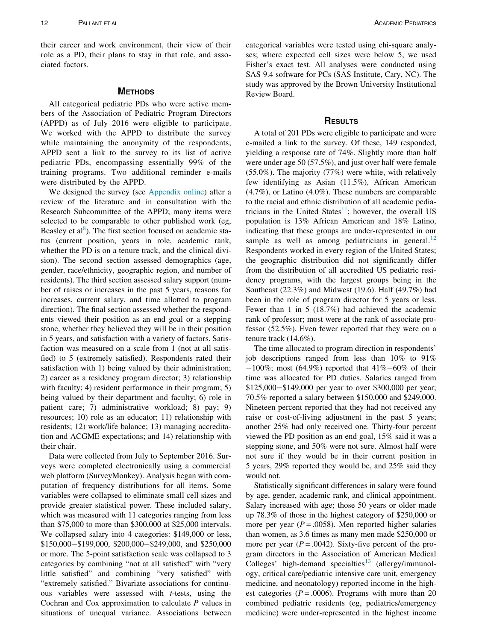their career and work environment, their view of their role as a PD, their plans to stay in that role, and associated factors.

#### **METHODS**

All categorical pediatric PDs who were active members of the Association of Pediatric Program Directors (APPD) as of July 2016 were eligible to participate. We worked with the APPD to distribute the survey while maintaining the anonymity of the respondents; APPD sent a link to the survey to its list of active pediatric PDs, encompassing essentially 99% of the training programs. Two additional reminder e-mails were distributed by the APPD.

We designed the survey (see [Appendix online](#page-5-6)) after a review of the literature and in consultation with the Research Subcommittee of the APPD; many items were selected to be comparable to other published work (eg, Beasley et al<sup>[8](#page-5-5)</sup>). The first section focused on academic status (current position, years in role, academic rank, whether the PD is on a tenure track, and the clinical division). The second section assessed demographics (age, gender, race/ethnicity, geographic region, and number of residents). The third section assessed salary support (number of raises or increases in the past 5 years, reasons for increases, current salary, and time allotted to program direction). The final section assessed whether the respondents viewed their position as an end goal or a stepping stone, whether they believed they will be in their position in 5 years, and satisfaction with a variety of factors. Satisfaction was measured on a scale from 1 (not at all satisfied) to 5 (extremely satisfied). Respondents rated their satisfaction with 1) being valued by their administration; 2) career as a residency program director; 3) relationship with faculty; 4) resident performance in their program; 5) being valued by their department and faculty; 6) role in patient care; 7) administrative workload; 8) pay; 9) resources; 10) role as an educator; 11) relationship with residents; 12) work/life balance; 13) managing accreditation and ACGME expectations; and 14) relationship with their chair.

Data were collected from July to September 2016. Surveys were completed electronically using a commercial web platform (SurveyMonkey). Analysis began with computation of frequency distributions for all items. Some variables were collapsed to eliminate small cell sizes and provide greater statistical power. These included salary, which was measured with 11 categories ranging from less than \$75,000 to more than \$300,000 at \$25,000 intervals. We collapsed salary into 4 categories: \$149,000 or less, \$150,000−\$199,000, \$200,000−\$249,000, and \$250,000 or more. The 5-point satisfaction scale was collapsed to 3 categories by combining "not at all satisfied" with "very little satisfied" and combining "very satisfied" with "extremely satisfied." Bivariate associations for continuous variables were assessed with  $t$ -tests, using the Cochran and Cox approximation to calculate  $P$  values in situations of unequal variance. Associations between categorical variables were tested using chi-square analyses; where expected cell sizes were below 5, we used Fisher's exact test. All analyses were conducted using SAS 9.4 software for PCs (SAS Institute, Cary, NC). The study was approved by the Brown University Institutional Review Board.

#### **RESULTS**

A total of 201 PDs were eligible to participate and were e-mailed a link to the survey. Of these, 149 responded, yielding a response rate of 74%. Slightly more than half were under age 50 (57.5%), and just over half were female (55.0%). The majority (77%) were white, with relatively few identifying as Asian (11.5%), African American (4.7%), or Latino (4.0%). These numbers are comparable to the racial and ethnic distribution of all academic pediatricians in the United States $1$ ; however, the overall US population is 13% African American and 18% Latino, indicating that these groups are under-represented in our sample as well as among pediatricians in general.<sup>[12](#page-5-8)</sup> Respondents worked in every region of the United States; the geographic distribution did not significantly differ from the distribution of all accredited US pediatric residency programs, with the largest groups being in the Southeast (22.3%) and Midwest (19.6). Half (49.7%) had been in the role of program director for 5 years or less. Fewer than 1 in 5 (18.7%) had achieved the academic rank of professor; most were at the rank of associate professor (52.5%). Even fewer reported that they were on a tenure track (14.6%).

The time allocated to program direction in respondents' job descriptions ranged from less than 10% to 91% −100%; most (64.9%) reported that 41%−60% of their time was allocated for PD duties. Salaries ranged from \$125,000−\$149,000 per year to over \$300,000 per year; 70.5% reported a salary between \$150,000 and \$249,000. Nineteen percent reported that they had not received any raise or cost-of-living adjustment in the past 5 years; another 25% had only received one. Thirty-four percent viewed the PD position as an end goal, 15% said it was a stepping stone, and 50% were not sure. Almost half were not sure if they would be in their current position in 5 years, 29% reported they would be, and 25% said they would not.

Statistically significant differences in salary were found by age, gender, academic rank, and clinical appointment. Salary increased with age; those 50 years or older made up 78.3% of those in the highest category of \$250,000 or more per year ( $P = .0058$ ). Men reported higher salaries than women, as 3.6 times as many men made \$250,000 or more per year ( $P = .0042$ ). Sixty-five percent of the program directors in the Association of American Medical Colleges' high-demand specialties<sup>[13](#page-5-9)</sup> (allergy/immunology, critical care/pediatric intensive care unit, emergency medicine, and neonatology) reported income in the highest categories ( $P = .0006$ ). Programs with more than 20 combined pediatric residents (eg, pediatrics/emergency medicine) were under-represented in the highest income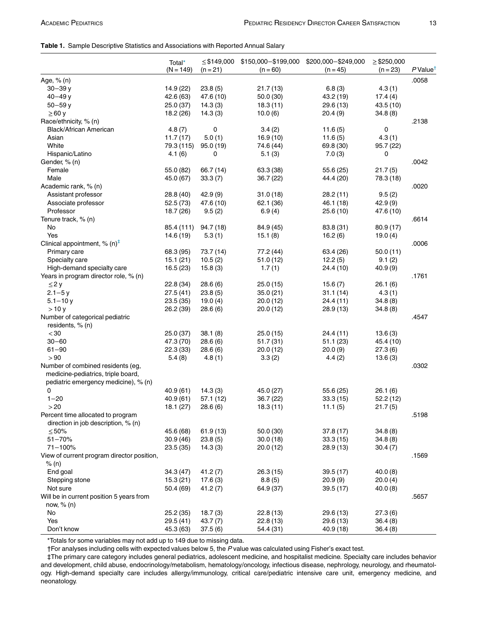#### <span id="page-2-2"></span>Table 1. Sample Descriptive Statistics and Associations with Reported Annual Salary

|                                            | Total*<br>$(N = 149)$ | $\le$ \$149,000<br>$(n = 21)$ | $(n = 60)$ | \$150,000-\$199,000 \$200,000-\$249,000<br>$(n = 45)$ | $\ge$ \$250,000<br>$(n = 23)$ | $P$ Value <sup>†</sup> |
|--------------------------------------------|-----------------------|-------------------------------|------------|-------------------------------------------------------|-------------------------------|------------------------|
| Age, % (n)                                 |                       |                               |            |                                                       |                               | .0058                  |
| $30 - 39y$                                 | 14.9 (22)             | 23.8(5)                       | 21.7(13)   | 6.8(3)                                                | 4.3(1)                        |                        |
| $40 - 49y$                                 | 42.6 (63)             | 47.6 (10)                     | 50.0(30)   | 43.2 (19)                                             | 17.4(4)                       |                        |
| $50 - 59y$                                 | 25.0(37)              | 14.3(3)                       | 18.3(11)   | 29.6 (13)                                             | 43.5(10)                      |                        |
| $\geq 60$ y                                | 18.2 (26)             | 14.3(3)                       | 10.0(6)    | 20.4 (9)                                              | 34.8(8)                       |                        |
| Race/ethnicity, % (n)                      |                       |                               |            |                                                       |                               | .2138                  |
| <b>Black/African American</b>              | 4.8(7)                | 0                             | 3.4(2)     | 11.6(5)                                               | 0                             |                        |
| Asian                                      | 11.7(17)              | 5.0(1)                        | 16.9(10)   | 11.6(5)                                               | 4.3(1)                        |                        |
| White                                      | 79.3 (115)            | 95.0(19)                      | 74.6 (44)  | 69.8 (30)                                             | 95.7 (22)                     |                        |
| Hispanic/Latino                            | 4.1(6)                | 0                             | 5.1(3)     | 7.0(3)                                                | 0                             |                        |
| Gender, % (n)                              |                       |                               |            |                                                       |                               | .0042                  |
| Female                                     | 55.0 (82)             | 66.7 (14)                     | 63.3 (38)  | 55.6 (25)                                             | 21.7(5)                       |                        |
| Male                                       | 45.0 (67)             | 33.3(7)                       | 36.7(22)   | 44.4 (20)                                             | 78.3 (18)                     |                        |
| Academic rank, % (n)                       |                       |                               |            |                                                       |                               | .0020                  |
| Assistant professor                        | 28.8 (40)             | 42.9(9)                       | 31.0(18)   | 28.2(11)                                              | 9.5(2)                        |                        |
| Associate professor                        | 52.5(73)              | 47.6 (10)                     | 62.1 (36)  | 46.1 (18)                                             | 42.9(9)                       |                        |
| Professor                                  | 18.7 (26)             | 9.5(2)                        | 6.9(4)     | 25.6(10)                                              | 47.6 (10)                     |                        |
| Tenure track, % (n)                        |                       |                               |            |                                                       |                               | .6614                  |
| No                                         | 85.4 (111)            | 94.7(18)                      | 84.9 (45)  | 83.8 (31)                                             | 80.9 (17)                     |                        |
| Yes                                        | 14.6 (19)             | 5.3(1)                        | 15.1(8)    | 16.2(6)                                               | 19.0(4)                       |                        |
| Clinical appointment, % $(n)^{\ddagger}$   |                       |                               |            |                                                       |                               | .0006                  |
| Primary care                               | 68.3 (95)             | 73.7 (14)                     | 77.2 (44)  | 63.4 (26)                                             | 50.0(11)                      |                        |
| Specialty care                             | 15.1(21)              | 10.5(2)                       | 51.0(12)   | 12.2(5)                                               | 9.1(2)                        |                        |
| High-demand specialty care                 | 16.5(23)              | 15.8(3)                       | 1.7(1)     | 24.4 (10)                                             | 40.9(9)                       |                        |
| Years in program director role, % (n)      |                       |                               |            |                                                       |                               | .1761                  |
| $\leq$ 2 y                                 | 22.8 (34)             | 28.6(6)                       | 25.0(15)   | 15.6(7)                                               | 26.1(6)                       |                        |
| $2.1 - 5y$                                 | 27.5 (41)             | 23.8(5)                       | 35.0(21)   | 31.1(14)                                              | 4.3(1)                        |                        |
| $5.1 - 10y$                                | 23.5(35)              | 19.0(4)                       | 20.0(12)   | 24.4 (11)                                             | 34.8(8)                       |                        |
| >10y                                       | 26.2 (39)             | 28.6(6)                       | 20.0(12)   | 28.9 (13)                                             | 34.8(8)                       |                        |
| Number of categorical pediatric            |                       |                               |            |                                                       |                               | .4547                  |
| residents, % (n)                           |                       |                               |            |                                                       |                               |                        |
| < 30                                       | 25.0(37)              | 38.1(8)                       | 25.0(15)   | 24.4 (11)                                             | 13.6(3)                       |                        |
| $30 - 60$                                  | 47.3 (70)             | 28.6(6)                       | 51.7 (31)  | 51.1(23)                                              | 45.4 (10)                     |                        |
| $61 - 90$                                  | 22.3(33)              | 28.6(6)                       | 20.0(12)   | 20.0(9)                                               | 27.3(6)                       |                        |
| > 90                                       | 5.4(8)                | 4.8(1)                        | 3.3(2)     | 4.4(2)                                                | 13.6(3)                       |                        |
| Number of combined residents (eg,          |                       |                               |            |                                                       |                               | .0302                  |
| medicine-pediatrics, triple board,         |                       |                               |            |                                                       |                               |                        |
| pediatric emergency medicine), % (n)       |                       |                               |            |                                                       |                               |                        |
| 0                                          | 40.9(61)              | 14.3(3)                       | 45.0 (27)  | 55.6 (25)                                             | 26.1(6)                       |                        |
| $1 - 20$                                   | 40.9(61)              | 57.1(12)                      | 36.7 (22)  | 33.3(15)                                              | 52.2(12)                      |                        |
| >20                                        | 18.1(27)              | 28.6(6)                       | 18.3(11)   | 11.1(5)                                               | 21.7(5)                       |                        |
| Percent time allocated to program          |                       |                               |            |                                                       |                               | .5198                  |
| direction in job description, % (n)        |                       |                               |            |                                                       |                               |                        |
| ≤50%                                       | 45.6 (68)             | 61.9(13)                      | 50.0 (30)  | 37.8 (17)                                             | 34.8(8)                       |                        |
| $51 - 70%$                                 | 30.9(46)              | 23.8(5)                       | 30.0(18)   | 33.3(15)                                              | 34.8(8)                       |                        |
| $71 - 100%$                                | 23.5(35)              | 14.3(3)                       | 20.0(12)   | 28.9(13)                                              | 30.4(7)                       |                        |
| View of current program director position, |                       |                               |            |                                                       |                               | .1569                  |
| % (n)                                      |                       |                               |            |                                                       |                               |                        |
| End goal                                   | 34.3(47)              | 41.2(7)                       | 26.3(15)   | 39.5(17)                                              | 40.0(8)                       |                        |
| Stepping stone                             | 15.3(21)              | 17.6(3)                       | 8.8(5)     | 20.9(9)                                               | 20.0 (4)                      |                        |
| Not sure                                   | 50.4 (69)             | 41.2(7)                       | 64.9 (37)  | 39.5(17)                                              | 40.0 (8)                      |                        |
| Will be in current position 5 years from   |                       |                               |            |                                                       |                               | .5657                  |
| now, % (n)                                 |                       |                               |            |                                                       |                               |                        |
| No                                         | 25.2(35)              | 18.7(3)                       | 22.8(13)   | 29.6 (13)                                             | 27.3 (6)                      |                        |
| Yes                                        | 29.5(41)              | 43.7(7)                       | 22.8(13)   | 29.6 (13)                                             | 36.4(8)                       |                        |
| Don't know                                 | 45.3 (63)             | 37.5(6)                       | 54.4 (31)  | 40.9 (18)                                             | 36.4(8)                       |                        |

\*Totals for some variables may not add up to 149 due to missing data.

 $\dagger$ For analyses including cells with expected values below 5, the P value was calculated using Fisher's exact test.

<span id="page-2-1"></span><span id="page-2-0"></span>‡The primary care category includes general pediatrics, adolescent medicine, and hospitalist medicine. Specialty care includes behavior and development, child abuse, endocrinology/metabolism, hematology/oncology, infectious disease, nephrology, neurology, and rheumatology. High-demand specialty care includes allergy/immunology, critical care/pediatric intensive care unit, emergency medicine, and neonatology.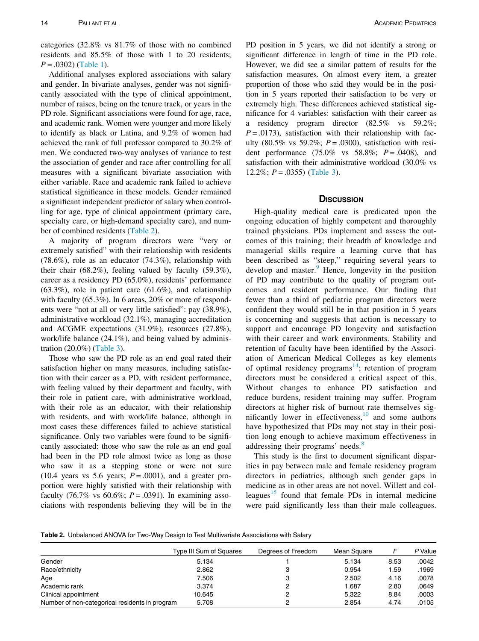categories (32.8% vs 81.7% of those with no combined residents and 85.5% of those with 1 to 20 residents;  $P = .0302$ ) [\(Table 1](#page-2-2)).

Additional analyses explored associations with salary and gender. In bivariate analyses, gender was not significantly associated with the type of clinical appointment, number of raises, being on the tenure track, or years in the PD role. Significant associations were found for age, race, and academic rank. Women were younger and more likely to identify as black or Latina, and 9.2% of women had achieved the rank of full professor compared to 30.2% of men. We conducted two-way analyses of variance to test the association of gender and race after controlling for all measures with a significant bivariate association with either variable. Race and academic rank failed to achieve statistical significance in these models. Gender remained a significant independent predictor of salary when controlling for age, type of clinical appointment (primary care, specialty care, or high-demand specialty care), and number of combined residents ([Table 2](#page-3-0)).

A majority of program directors were "very or extremely satisfied" with their relationship with residents (78.6%), role as an educator (74.3%), relationship with their chair (68.2%), feeling valued by faculty (59.3%), career as a residency PD (65.0%), residents' performance (63.3%), role in patient care (61.6%), and relationship with faculty (65.3%). In 6 areas, 20% or more of respondents were "not at all or very little satisfied": pay (38.9%), administrative workload (32.1%), managing accreditation and ACGME expectations (31.9%), resources (27.8%), work/life balance (24.1%), and being valued by administration (20.0%) ([Table 3\)](#page-4-0).

Those who saw the PD role as an end goal rated their satisfaction higher on many measures, including satisfaction with their career as a PD, with resident performance, with feeling valued by their department and faculty, with their role in patient care, with administrative workload, with their role as an educator, with their relationship with residents, and with work/life balance, although in most cases these differences failed to achieve statistical significance. Only two variables were found to be significantly associated: those who saw the role as an end goal had been in the PD role almost twice as long as those who saw it as a stepping stone or were not sure (10.4 years vs 5.6 years;  $P = .0001$ ), and a greater proportion were highly satisfied with their relationship with faculty (76.7% vs 60.6%;  $P = .0391$ ). In examining associations with respondents believing they will be in the PD position in 5 years, we did not identify a strong or significant difference in length of time in the PD role. However, we did see a similar pattern of results for the satisfaction measures. On almost every item, a greater proportion of those who said they would be in the position in 5 years reported their satisfaction to be very or extremely high. These differences achieved statistical significance for 4 variables: satisfaction with their career as a residency program director (82.5% vs 59.2%;  $P = .0173$ ), satisfaction with their relationship with faculty (80.5% vs 59.2%;  $P = .0300$ ), satisfaction with resident performance (75.0% vs 58.8%;  $P = .0408$ ), and satisfaction with their administrative workload (30.0% vs 12.2%;  $P = .0355$ ) [\(Table 3](#page-4-0)).

#### **DISCUSSION**

High-quality medical care is predicated upon the ongoing education of highly competent and thoroughly trained physicians. PDs implement and assess the outcomes of this training; their breadth of knowledge and managerial skills require a learning curve that has been described as "steep," requiring several years to develop and master. $9$  Hence, longevity in the position of PD may contribute to the quality of program outcomes and resident performance. Our finding that fewer than a third of pediatric program directors were confident they would still be in that position in 5 years is concerning and suggests that action is necessary to support and encourage PD longevity and satisfaction with their career and work environments. Stability and retention of faculty have been identified by the Association of American Medical Colleges as key elements of optimal residency programs<sup>[14](#page-5-10)</sup>; retention of program directors must be considered a critical aspect of this. Without changes to enhance PD satisfaction and reduce burdens, resident training may suffer. Program directors at higher risk of burnout rate themselves significantly lower in effectiveness, $10$  and some authors have hypothesized that PDs may not stay in their position long enough to achieve maximum effectiveness in addressing their programs' needs.<sup>[8](#page-5-5)</sup>

This study is the first to document significant disparities in pay between male and female residency program directors in pediatrics, although such gender gaps in medicine as in other areas are not novel. Willett and col-leagues<sup>[15](#page-5-12)</sup> found that female PDs in internal medicine were paid significantly less than their male colleagues.

<span id="page-3-0"></span>Table 2. Unbalanced ANOVA for Two-Way Design to Test Multivariate Associations with Salary

|                                                | Type III Sum of Squares | Degrees of Freedom | Mean Square |      | P Value |
|------------------------------------------------|-------------------------|--------------------|-------------|------|---------|
| Gender                                         | 5.134                   |                    | 5.134       | 8.53 | .0042   |
| Race/ethnicity                                 | 2.862                   | c                  | 0.954       | 1.59 | .1969   |
| Age                                            | 7.506                   | 3                  | 2.502       | 4.16 | .0078   |
| Academic rank                                  | 3.374                   |                    | 1.687       | 2.80 | .0649   |
| Clinical appointment                           | 10.645                  |                    | 5.322       | 8.84 | .0003   |
| Number of non-categorical residents in program | 5.708                   |                    | 2.854       | 4.74 | .0105   |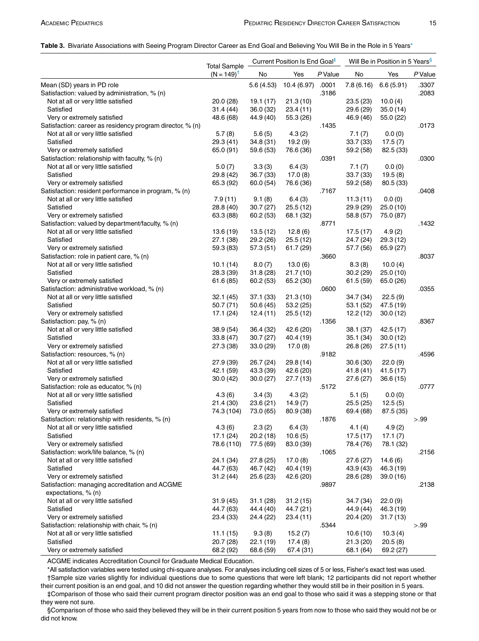#### <span id="page-4-0"></span>Table 3. Bivariate Associations with Seeing Program Director Career as End Goal and Believing You Will Be in the Role in 5 Year[s\\*](#page-4-1)

| <b>Total Sample</b><br>$(N = 149)^T$<br>No<br>Yes<br>P Value<br>No<br>Yes<br>P Value<br>Mean (SD) years in PD role<br>7.8(6.16)<br>6.6(5.91)<br>5.6(4.53)<br>10.4(6.97)<br>.0001<br>.3307<br>Satisfaction: valued by administration, % (n)<br>.3186<br>.2083<br>Not at all or very little satisfied<br>21.3(10)<br>20.0 (28)<br>19.1 (17)<br>23.5(23)<br>10.0(4)<br>Satisfied<br>31.4 (44)<br>36.0(32)<br>23.4(11)<br>29.6 (29)<br>35.0(14)<br>48.6 (68)<br>Very or extremely satisfied<br>44.9 (40)<br>55.3 (26)<br>46.9 (46)<br>55.0 (22)<br>Satisfaction: career as residency program director, % (n)<br>.0173<br>.1435<br>Not at all or very little satisfied<br>5.7(8)<br>5.6(5)<br>4.3(2)<br>7.1(7)<br>0.0(0)<br>19.2(9)<br>Satisfied<br>29.3 (41)<br>34.8(31)<br>33.7(33)<br>17.5(7)<br>Very or extremely satisfied<br>65.0 (91)<br>59.6 (53)<br>76.6 (36)<br>59.2 (58)<br>82.5 (33)<br>Satisfaction: relationship with faculty, % (n)<br>.0391<br>.0300<br>Not at all or very little satisfied<br>3.3(3)<br>6.4(3)<br>7.1(7)<br>0.0(0)<br>5.0(7)<br>Satisfied<br>29.8 (42)<br>36.7(33)<br>17.0(8)<br>33.7 (33)<br>19.5(8)<br>Very or extremely satisfied<br>65.3 (92)<br>60.0(54)<br>76.6 (36)<br>59.2 (58)<br>80.5 (33)<br>Satisfaction: resident performance in program, % (n)<br>.0408<br>.7167<br>Not at all or very little satisfied<br>7.9(11)<br>9.1(8)<br>6.4(3)<br>11.3(11)<br>0.0(0)<br>Satisfied<br>28.8 (40)<br>30.7(27)<br>25.5(12)<br>29.9 (29)<br>25.0(10)<br>Very or extremely satisfied<br>63.3 (88)<br>60.2(53)<br>68.1 (32)<br>58.8 (57)<br>75.0 (87)<br>Satisfaction: valued by department/faculty, % (n)<br>.8771<br>.1432<br>Not at all or very little satisfied<br>13.6(19)<br>13.5(12)<br>12.8(6)<br>17.5(17)<br>4.9(2)<br>29.2 (26)<br>Satisfied<br>27.1 (38)<br>25.5(12)<br>24.7 (24)<br>29.3(12)<br>Very or extremely satisfied<br>59.3 (83)<br>57.3(51)<br>61.7(29)<br>57.7 (56)<br>65.9 (27) |
|-----------------------------------------------------------------------------------------------------------------------------------------------------------------------------------------------------------------------------------------------------------------------------------------------------------------------------------------------------------------------------------------------------------------------------------------------------------------------------------------------------------------------------------------------------------------------------------------------------------------------------------------------------------------------------------------------------------------------------------------------------------------------------------------------------------------------------------------------------------------------------------------------------------------------------------------------------------------------------------------------------------------------------------------------------------------------------------------------------------------------------------------------------------------------------------------------------------------------------------------------------------------------------------------------------------------------------------------------------------------------------------------------------------------------------------------------------------------------------------------------------------------------------------------------------------------------------------------------------------------------------------------------------------------------------------------------------------------------------------------------------------------------------------------------------------------------------------------------------------------------------------------------------------------------------------|
|                                                                                                                                                                                                                                                                                                                                                                                                                                                                                                                                                                                                                                                                                                                                                                                                                                                                                                                                                                                                                                                                                                                                                                                                                                                                                                                                                                                                                                                                                                                                                                                                                                                                                                                                                                                                                                                                                                                                   |
|                                                                                                                                                                                                                                                                                                                                                                                                                                                                                                                                                                                                                                                                                                                                                                                                                                                                                                                                                                                                                                                                                                                                                                                                                                                                                                                                                                                                                                                                                                                                                                                                                                                                                                                                                                                                                                                                                                                                   |
|                                                                                                                                                                                                                                                                                                                                                                                                                                                                                                                                                                                                                                                                                                                                                                                                                                                                                                                                                                                                                                                                                                                                                                                                                                                                                                                                                                                                                                                                                                                                                                                                                                                                                                                                                                                                                                                                                                                                   |
|                                                                                                                                                                                                                                                                                                                                                                                                                                                                                                                                                                                                                                                                                                                                                                                                                                                                                                                                                                                                                                                                                                                                                                                                                                                                                                                                                                                                                                                                                                                                                                                                                                                                                                                                                                                                                                                                                                                                   |
|                                                                                                                                                                                                                                                                                                                                                                                                                                                                                                                                                                                                                                                                                                                                                                                                                                                                                                                                                                                                                                                                                                                                                                                                                                                                                                                                                                                                                                                                                                                                                                                                                                                                                                                                                                                                                                                                                                                                   |
|                                                                                                                                                                                                                                                                                                                                                                                                                                                                                                                                                                                                                                                                                                                                                                                                                                                                                                                                                                                                                                                                                                                                                                                                                                                                                                                                                                                                                                                                                                                                                                                                                                                                                                                                                                                                                                                                                                                                   |
|                                                                                                                                                                                                                                                                                                                                                                                                                                                                                                                                                                                                                                                                                                                                                                                                                                                                                                                                                                                                                                                                                                                                                                                                                                                                                                                                                                                                                                                                                                                                                                                                                                                                                                                                                                                                                                                                                                                                   |
|                                                                                                                                                                                                                                                                                                                                                                                                                                                                                                                                                                                                                                                                                                                                                                                                                                                                                                                                                                                                                                                                                                                                                                                                                                                                                                                                                                                                                                                                                                                                                                                                                                                                                                                                                                                                                                                                                                                                   |
|                                                                                                                                                                                                                                                                                                                                                                                                                                                                                                                                                                                                                                                                                                                                                                                                                                                                                                                                                                                                                                                                                                                                                                                                                                                                                                                                                                                                                                                                                                                                                                                                                                                                                                                                                                                                                                                                                                                                   |
|                                                                                                                                                                                                                                                                                                                                                                                                                                                                                                                                                                                                                                                                                                                                                                                                                                                                                                                                                                                                                                                                                                                                                                                                                                                                                                                                                                                                                                                                                                                                                                                                                                                                                                                                                                                                                                                                                                                                   |
|                                                                                                                                                                                                                                                                                                                                                                                                                                                                                                                                                                                                                                                                                                                                                                                                                                                                                                                                                                                                                                                                                                                                                                                                                                                                                                                                                                                                                                                                                                                                                                                                                                                                                                                                                                                                                                                                                                                                   |
|                                                                                                                                                                                                                                                                                                                                                                                                                                                                                                                                                                                                                                                                                                                                                                                                                                                                                                                                                                                                                                                                                                                                                                                                                                                                                                                                                                                                                                                                                                                                                                                                                                                                                                                                                                                                                                                                                                                                   |
|                                                                                                                                                                                                                                                                                                                                                                                                                                                                                                                                                                                                                                                                                                                                                                                                                                                                                                                                                                                                                                                                                                                                                                                                                                                                                                                                                                                                                                                                                                                                                                                                                                                                                                                                                                                                                                                                                                                                   |
|                                                                                                                                                                                                                                                                                                                                                                                                                                                                                                                                                                                                                                                                                                                                                                                                                                                                                                                                                                                                                                                                                                                                                                                                                                                                                                                                                                                                                                                                                                                                                                                                                                                                                                                                                                                                                                                                                                                                   |
|                                                                                                                                                                                                                                                                                                                                                                                                                                                                                                                                                                                                                                                                                                                                                                                                                                                                                                                                                                                                                                                                                                                                                                                                                                                                                                                                                                                                                                                                                                                                                                                                                                                                                                                                                                                                                                                                                                                                   |
|                                                                                                                                                                                                                                                                                                                                                                                                                                                                                                                                                                                                                                                                                                                                                                                                                                                                                                                                                                                                                                                                                                                                                                                                                                                                                                                                                                                                                                                                                                                                                                                                                                                                                                                                                                                                                                                                                                                                   |
|                                                                                                                                                                                                                                                                                                                                                                                                                                                                                                                                                                                                                                                                                                                                                                                                                                                                                                                                                                                                                                                                                                                                                                                                                                                                                                                                                                                                                                                                                                                                                                                                                                                                                                                                                                                                                                                                                                                                   |
|                                                                                                                                                                                                                                                                                                                                                                                                                                                                                                                                                                                                                                                                                                                                                                                                                                                                                                                                                                                                                                                                                                                                                                                                                                                                                                                                                                                                                                                                                                                                                                                                                                                                                                                                                                                                                                                                                                                                   |
|                                                                                                                                                                                                                                                                                                                                                                                                                                                                                                                                                                                                                                                                                                                                                                                                                                                                                                                                                                                                                                                                                                                                                                                                                                                                                                                                                                                                                                                                                                                                                                                                                                                                                                                                                                                                                                                                                                                                   |
|                                                                                                                                                                                                                                                                                                                                                                                                                                                                                                                                                                                                                                                                                                                                                                                                                                                                                                                                                                                                                                                                                                                                                                                                                                                                                                                                                                                                                                                                                                                                                                                                                                                                                                                                                                                                                                                                                                                                   |
|                                                                                                                                                                                                                                                                                                                                                                                                                                                                                                                                                                                                                                                                                                                                                                                                                                                                                                                                                                                                                                                                                                                                                                                                                                                                                                                                                                                                                                                                                                                                                                                                                                                                                                                                                                                                                                                                                                                                   |
|                                                                                                                                                                                                                                                                                                                                                                                                                                                                                                                                                                                                                                                                                                                                                                                                                                                                                                                                                                                                                                                                                                                                                                                                                                                                                                                                                                                                                                                                                                                                                                                                                                                                                                                                                                                                                                                                                                                                   |
| Satisfaction: role in patient care, % (n)<br>.3660<br>.8037                                                                                                                                                                                                                                                                                                                                                                                                                                                                                                                                                                                                                                                                                                                                                                                                                                                                                                                                                                                                                                                                                                                                                                                                                                                                                                                                                                                                                                                                                                                                                                                                                                                                                                                                                                                                                                                                       |
| Not at all or very little satisfied                                                                                                                                                                                                                                                                                                                                                                                                                                                                                                                                                                                                                                                                                                                                                                                                                                                                                                                                                                                                                                                                                                                                                                                                                                                                                                                                                                                                                                                                                                                                                                                                                                                                                                                                                                                                                                                                                               |
| 13.0(6)<br>10.0(4)<br>10.1(14)<br>8.0(7)<br>8.3(8)<br>Satisfied<br>28.3 (39)                                                                                                                                                                                                                                                                                                                                                                                                                                                                                                                                                                                                                                                                                                                                                                                                                                                                                                                                                                                                                                                                                                                                                                                                                                                                                                                                                                                                                                                                                                                                                                                                                                                                                                                                                                                                                                                      |
| 31.8(28)<br>21.7(10)<br>30.2(29)<br>25.0(10)                                                                                                                                                                                                                                                                                                                                                                                                                                                                                                                                                                                                                                                                                                                                                                                                                                                                                                                                                                                                                                                                                                                                                                                                                                                                                                                                                                                                                                                                                                                                                                                                                                                                                                                                                                                                                                                                                      |
| Very or extremely satisfied<br>61.6 (85)<br>60.2(53)<br>65.2 (30)<br>61.5(59)<br>65.0 (26)                                                                                                                                                                                                                                                                                                                                                                                                                                                                                                                                                                                                                                                                                                                                                                                                                                                                                                                                                                                                                                                                                                                                                                                                                                                                                                                                                                                                                                                                                                                                                                                                                                                                                                                                                                                                                                        |
| Satisfaction: administrative workload, % (n)<br>.0355<br>.0600                                                                                                                                                                                                                                                                                                                                                                                                                                                                                                                                                                                                                                                                                                                                                                                                                                                                                                                                                                                                                                                                                                                                                                                                                                                                                                                                                                                                                                                                                                                                                                                                                                                                                                                                                                                                                                                                    |
| Not at all or very little satisfied<br>37.1(33)<br>21.3(10)<br>34.7 (34)<br>22.5(9)<br>32.1 (45)                                                                                                                                                                                                                                                                                                                                                                                                                                                                                                                                                                                                                                                                                                                                                                                                                                                                                                                                                                                                                                                                                                                                                                                                                                                                                                                                                                                                                                                                                                                                                                                                                                                                                                                                                                                                                                  |
| Satisfied<br>50.7 (71)<br>50.6(45)<br>53.2(25)<br>53.1 (52)<br>47.5 (19)                                                                                                                                                                                                                                                                                                                                                                                                                                                                                                                                                                                                                                                                                                                                                                                                                                                                                                                                                                                                                                                                                                                                                                                                                                                                                                                                                                                                                                                                                                                                                                                                                                                                                                                                                                                                                                                          |
| Very or extremely satisfied<br>17.1(24)<br>12.4(11)<br>25.5(12)<br>12.2(12)<br>30.0(12)                                                                                                                                                                                                                                                                                                                                                                                                                                                                                                                                                                                                                                                                                                                                                                                                                                                                                                                                                                                                                                                                                                                                                                                                                                                                                                                                                                                                                                                                                                                                                                                                                                                                                                                                                                                                                                           |
| Satisfaction: pay, % (n)<br>.1356<br>.8367                                                                                                                                                                                                                                                                                                                                                                                                                                                                                                                                                                                                                                                                                                                                                                                                                                                                                                                                                                                                                                                                                                                                                                                                                                                                                                                                                                                                                                                                                                                                                                                                                                                                                                                                                                                                                                                                                        |
| 42.5 (17)<br>Not at all or very little satisfied<br>38.9 (54)<br>36.4(32)<br>42.6 (20)<br>38.1 (37)                                                                                                                                                                                                                                                                                                                                                                                                                                                                                                                                                                                                                                                                                                                                                                                                                                                                                                                                                                                                                                                                                                                                                                                                                                                                                                                                                                                                                                                                                                                                                                                                                                                                                                                                                                                                                               |
| Satisfied<br>33.8 (47)<br>30.7(27)<br>40.4 (19)<br>35.1 (34)<br>30.0(12)                                                                                                                                                                                                                                                                                                                                                                                                                                                                                                                                                                                                                                                                                                                                                                                                                                                                                                                                                                                                                                                                                                                                                                                                                                                                                                                                                                                                                                                                                                                                                                                                                                                                                                                                                                                                                                                          |
| Very or extremely satisfied<br>27.3 (38)<br>33.0(29)<br>17.0(8)<br>26.8(26)<br>27.5(11)                                                                                                                                                                                                                                                                                                                                                                                                                                                                                                                                                                                                                                                                                                                                                                                                                                                                                                                                                                                                                                                                                                                                                                                                                                                                                                                                                                                                                                                                                                                                                                                                                                                                                                                                                                                                                                           |
| Satisfaction: resources, % (n)<br>.4596<br>.9182                                                                                                                                                                                                                                                                                                                                                                                                                                                                                                                                                                                                                                                                                                                                                                                                                                                                                                                                                                                                                                                                                                                                                                                                                                                                                                                                                                                                                                                                                                                                                                                                                                                                                                                                                                                                                                                                                  |
| 29.8 (14)<br>22.0(9)<br>Not at all or very little satisfied<br>27.9 (39)<br>26.7 (24)<br>30.6(30)                                                                                                                                                                                                                                                                                                                                                                                                                                                                                                                                                                                                                                                                                                                                                                                                                                                                                                                                                                                                                                                                                                                                                                                                                                                                                                                                                                                                                                                                                                                                                                                                                                                                                                                                                                                                                                 |
| Satisfied<br>42.1 (59)<br>42.6 (20)<br>43.3 (39)<br>41.8(41)<br>41.5(17)                                                                                                                                                                                                                                                                                                                                                                                                                                                                                                                                                                                                                                                                                                                                                                                                                                                                                                                                                                                                                                                                                                                                                                                                                                                                                                                                                                                                                                                                                                                                                                                                                                                                                                                                                                                                                                                          |
| Very or extremely satisfied<br>30.0(42)<br>30.0(27)<br>27.7(13)<br>27.6(27)<br>36.6(15)                                                                                                                                                                                                                                                                                                                                                                                                                                                                                                                                                                                                                                                                                                                                                                                                                                                                                                                                                                                                                                                                                                                                                                                                                                                                                                                                                                                                                                                                                                                                                                                                                                                                                                                                                                                                                                           |
| Satisfaction: role as educator, % (n)<br>.0777<br>.5172                                                                                                                                                                                                                                                                                                                                                                                                                                                                                                                                                                                                                                                                                                                                                                                                                                                                                                                                                                                                                                                                                                                                                                                                                                                                                                                                                                                                                                                                                                                                                                                                                                                                                                                                                                                                                                                                           |
| Not at all or very little satisfied<br>4.3(2)<br>0.0(0)<br>4.3(6)<br>3.4(3)<br>5.1(5)                                                                                                                                                                                                                                                                                                                                                                                                                                                                                                                                                                                                                                                                                                                                                                                                                                                                                                                                                                                                                                                                                                                                                                                                                                                                                                                                                                                                                                                                                                                                                                                                                                                                                                                                                                                                                                             |
| Satisfied<br>21.4 (30)<br>14.9(7)<br>23.6(21)<br>25.5(25)<br>12.5(5)                                                                                                                                                                                                                                                                                                                                                                                                                                                                                                                                                                                                                                                                                                                                                                                                                                                                                                                                                                                                                                                                                                                                                                                                                                                                                                                                                                                                                                                                                                                                                                                                                                                                                                                                                                                                                                                              |
| Very or extremely satisfied<br>74.3 (104)<br>73.0 (65)<br>80.9 (38)<br>69.4 (68)<br>87.5 (35)                                                                                                                                                                                                                                                                                                                                                                                                                                                                                                                                                                                                                                                                                                                                                                                                                                                                                                                                                                                                                                                                                                                                                                                                                                                                                                                                                                                                                                                                                                                                                                                                                                                                                                                                                                                                                                     |
| .1876<br>Satisfaction: relationship with residents, % (n)<br>> 99                                                                                                                                                                                                                                                                                                                                                                                                                                                                                                                                                                                                                                                                                                                                                                                                                                                                                                                                                                                                                                                                                                                                                                                                                                                                                                                                                                                                                                                                                                                                                                                                                                                                                                                                                                                                                                                                 |
| 4.3(6)<br>2.3(2)<br>6.4(3)<br>4.1(4)<br>Not at all or very little satisfied<br>4.9(2)                                                                                                                                                                                                                                                                                                                                                                                                                                                                                                                                                                                                                                                                                                                                                                                                                                                                                                                                                                                                                                                                                                                                                                                                                                                                                                                                                                                                                                                                                                                                                                                                                                                                                                                                                                                                                                             |
| Satisfied<br>20.2(18)<br>10.6(5)<br>17.5(17)<br>17.1 (24)<br>17.1(7)                                                                                                                                                                                                                                                                                                                                                                                                                                                                                                                                                                                                                                                                                                                                                                                                                                                                                                                                                                                                                                                                                                                                                                                                                                                                                                                                                                                                                                                                                                                                                                                                                                                                                                                                                                                                                                                              |
| Very or extremely satisfied<br>78.6 (110)<br>77.5 (69)<br>83.0 (39)<br>78.4 (76)<br>78.1 (32)                                                                                                                                                                                                                                                                                                                                                                                                                                                                                                                                                                                                                                                                                                                                                                                                                                                                                                                                                                                                                                                                                                                                                                                                                                                                                                                                                                                                                                                                                                                                                                                                                                                                                                                                                                                                                                     |
| Satisfaction: work/life balance, % (n)<br>.1065<br>.2156                                                                                                                                                                                                                                                                                                                                                                                                                                                                                                                                                                                                                                                                                                                                                                                                                                                                                                                                                                                                                                                                                                                                                                                                                                                                                                                                                                                                                                                                                                                                                                                                                                                                                                                                                                                                                                                                          |
| Not at all or very little satisfied<br>24.1 (34)<br>27.8(25)<br>17.0(8)<br>27.6 (27)<br>14.6(6)                                                                                                                                                                                                                                                                                                                                                                                                                                                                                                                                                                                                                                                                                                                                                                                                                                                                                                                                                                                                                                                                                                                                                                                                                                                                                                                                                                                                                                                                                                                                                                                                                                                                                                                                                                                                                                   |
| Satisfied<br>44.7 (63)<br>46.7 (42)<br>40.4 (19)<br>46.3 (19)<br>43.9 (43)                                                                                                                                                                                                                                                                                                                                                                                                                                                                                                                                                                                                                                                                                                                                                                                                                                                                                                                                                                                                                                                                                                                                                                                                                                                                                                                                                                                                                                                                                                                                                                                                                                                                                                                                                                                                                                                        |
| Very or extremely satisfied<br>31.2(44)<br>25.6(23)<br>42.6 (20)<br>39.0(16)<br>28.6 (28)                                                                                                                                                                                                                                                                                                                                                                                                                                                                                                                                                                                                                                                                                                                                                                                                                                                                                                                                                                                                                                                                                                                                                                                                                                                                                                                                                                                                                                                                                                                                                                                                                                                                                                                                                                                                                                         |
| Satisfaction: managing accreditation and ACGME<br>.9897<br>.2138                                                                                                                                                                                                                                                                                                                                                                                                                                                                                                                                                                                                                                                                                                                                                                                                                                                                                                                                                                                                                                                                                                                                                                                                                                                                                                                                                                                                                                                                                                                                                                                                                                                                                                                                                                                                                                                                  |
| expectations, $% (n)$                                                                                                                                                                                                                                                                                                                                                                                                                                                                                                                                                                                                                                                                                                                                                                                                                                                                                                                                                                                                                                                                                                                                                                                                                                                                                                                                                                                                                                                                                                                                                                                                                                                                                                                                                                                                                                                                                                             |
| Not at all or very little satisfied<br>31.9(45)<br>31.1(28)<br>31.2(15)<br>34.7 (34)<br>22.0(9)                                                                                                                                                                                                                                                                                                                                                                                                                                                                                                                                                                                                                                                                                                                                                                                                                                                                                                                                                                                                                                                                                                                                                                                                                                                                                                                                                                                                                                                                                                                                                                                                                                                                                                                                                                                                                                   |
| Satisfied<br>44.7 (63)<br>44.4 (40)<br>44.7 (21)<br>44.9 (44)<br>46.3 (19)                                                                                                                                                                                                                                                                                                                                                                                                                                                                                                                                                                                                                                                                                                                                                                                                                                                                                                                                                                                                                                                                                                                                                                                                                                                                                                                                                                                                                                                                                                                                                                                                                                                                                                                                                                                                                                                        |
| Very or extremely satisfied<br>23.4 (33)<br>24.4 (22)<br>23.4 (11)<br>20.4 (20)<br>31.7(13)                                                                                                                                                                                                                                                                                                                                                                                                                                                                                                                                                                                                                                                                                                                                                                                                                                                                                                                                                                                                                                                                                                                                                                                                                                                                                                                                                                                                                                                                                                                                                                                                                                                                                                                                                                                                                                       |
| Satisfaction: relationship with chair, % (n)<br>.5344<br>>.99                                                                                                                                                                                                                                                                                                                                                                                                                                                                                                                                                                                                                                                                                                                                                                                                                                                                                                                                                                                                                                                                                                                                                                                                                                                                                                                                                                                                                                                                                                                                                                                                                                                                                                                                                                                                                                                                     |
| 15.2(7)<br>10.3(4)<br>Not at all or very little satisfied<br>11.1(15)<br>9.3(8)<br>10.6(10)                                                                                                                                                                                                                                                                                                                                                                                                                                                                                                                                                                                                                                                                                                                                                                                                                                                                                                                                                                                                                                                                                                                                                                                                                                                                                                                                                                                                                                                                                                                                                                                                                                                                                                                                                                                                                                       |
| Satisfied<br>20.7 (28)<br>17.4(8)<br>20.5(8)<br>22.1 (19)<br>21.3(20)                                                                                                                                                                                                                                                                                                                                                                                                                                                                                                                                                                                                                                                                                                                                                                                                                                                                                                                                                                                                                                                                                                                                                                                                                                                                                                                                                                                                                                                                                                                                                                                                                                                                                                                                                                                                                                                             |
| Very or extremely satisfied<br>68.2 (92)<br>68.6 (59)<br>68.1 (64)<br>69.2 (27)<br>67.4 (31)                                                                                                                                                                                                                                                                                                                                                                                                                                                                                                                                                                                                                                                                                                                                                                                                                                                                                                                                                                                                                                                                                                                                                                                                                                                                                                                                                                                                                                                                                                                                                                                                                                                                                                                                                                                                                                      |

ACGME indicates Accreditation Council for Graduate Medical Education.

<span id="page-4-1"></span>\*All satisfaction variables were tested using chi-square analyses. For analyses including cell sizes of 5 or less, Fisher's exact test was used. †Sample size varies slightly for individual questions due to some questions that were left blank; 12 participants did not report whether their current position is an end goal, and 10 did not answer the question regarding whether they would still be in their position in 5 years.

<span id="page-4-2"></span>‡Comparison of those who said their current program director position was an end goal to those who said it was a stepping stone or that they were not sure.

<span id="page-4-3"></span>§Comparison of those who said they believed they will be in their current position 5 years from now to those who said they would not be or did not know.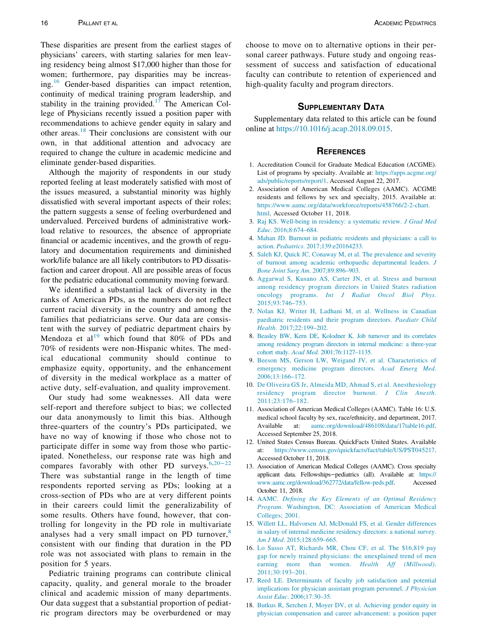<span id="page-5-6"></span>These disparities are present from the earliest stages of physicians' careers, with starting salaries for men leaving residency being almost \$17,000 higher than those for women; furthermore, pay disparities may be increas-ing.<sup>[16](#page-5-13)</sup> Gender-based disparities can impact retention, continuity of medical training program leadership, and stability in the training provided.<sup>[17](#page-5-14)</sup> The American College of Physicians recently issued a position paper with recommendations to achieve gender equity in salary and other areas.[18](#page-5-15) Their conclusions are consistent with our own, in that additional attention and advocacy are required to change the culture in academic medicine and eliminate gender-based disparities.

<span id="page-5-2"></span><span id="page-5-1"></span><span id="page-5-0"></span>Although the majority of respondents in our study reported feeling at least moderately satisfied with most of the issues measured, a substantial minority was highly dissatisfied with several important aspects of their roles; the pattern suggests a sense of feeling overburdened and undervalued. Perceived burdens of administrative workload relative to resources, the absence of appropriate financial or academic incentives, and the growth of regulatory and documentation requirements and diminished work/life balance are all likely contributors to PD dissatisfaction and career dropout. All are possible areas of focus for the pediatric educational community moving forward.

<span id="page-5-16"></span><span id="page-5-5"></span><span id="page-5-3"></span>We identified a substantial lack of diversity in the ranks of American PDs, as the numbers do not reflect current racial diversity in the country and among the families that pediatricians serve. Our data are consistent with the survey of pediatric department chairs by Mendoza et al<sup>[19](#page-6-0)</sup> which found that 80% of PDs and 70% of residents were non-Hispanic whites. The medical educational community should continue to emphasize equity, opportunity, and the enhancement of diversity in the medical workplace as a matter of active duty, self-evaluation, and quality improvement.

<span id="page-5-11"></span><span id="page-5-9"></span><span id="page-5-8"></span><span id="page-5-7"></span><span id="page-5-4"></span>Our study had some weaknesses. All data were self-report and therefore subject to bias; we collected our data anonymously to limit this bias. Although three-quarters of the country's PDs participated, we have no way of knowing if those who chose not to participate differ in some way from those who participated. Nonetheless, our response rate was high and compares favorably with other PD surveys.<sup>[6](#page-5-16),[20](#page-6-1)-22</sup> There was substantial range in the length of time respondents reported serving as PDs; looking at a cross-section of PDs who are at very different points in their careers could limit the generalizability of some results. Others have found, however, that controlling for longevity in the PD role in multivariate analyses had a very small impact on PD turnover, $8$ consistent with our finding that duration in the PD role was not associated with plans to remain in the position for 5 years.

<span id="page-5-15"></span><span id="page-5-14"></span><span id="page-5-13"></span><span id="page-5-12"></span><span id="page-5-10"></span>Pediatric training programs can contribute clinical capacity, quality, and general morale to the broader clinical and academic mission of many departments. Our data suggest that a substantial proportion of pediatric program directors may be overburdened or may choose to move on to alternative options in their personal career pathways. Future study and ongoing reassessment of success and satisfaction of educational faculty can contribute to retention of experienced and high-quality faculty and program directors.

#### SUPPLEMENTARY DATA

Supplementary data related to this article can be found online at [https://10.1016/j.acap.2018.09.015.](https://doi.org/10.1016/j.acap.2018.09.015)

#### **REFERENCES**

- 1. Accreditation Council for Graduate Medical Education (ACGME). List of programs by specialty. Available at: [https://apps.acgme.org/](https://apps.acgme.org/ads/public/reports/report/1) [ads/public/reports/report/1.](https://apps.acgme.org/ads/public/reports/report/1) Accessed August 22, 2017.
- 2. Association of American Medical Colleges (AAMC). ACGME residents and fellows by sex and specialty, 2015. Available at: [https://www.aamc.org/data/workforce/reports/458766/2-2-chart.](https://www.aamc.org/data/workforce/reports/458766/2-2-chart.html) [html](https://www.aamc.org/data/workforce/reports/458766/2-2-chart.html). Accessed October 11, 2018.
- 3. [Raj KS. Well-being in residency: a systematic review.](http://refhub.elsevier.com/S1876-2859(18)30687-9/sbref0001) J Grad Med Educ[. 2016;8:674–684.](http://refhub.elsevier.com/S1876-2859(18)30687-9/sbref0001)
- 4. [Mahan JD. Burnout in pediatric residents and physicians: a call to](http://refhub.elsevier.com/S1876-2859(18)30687-9/sbref0002) action. Pediatrics[. 2017;139:e20164233.](http://refhub.elsevier.com/S1876-2859(18)30687-9/sbref0002)
- 5. [Saleh KJ, Quick JC, Conaway M, et al. The prevalence and severity](http://refhub.elsevier.com/S1876-2859(18)30687-9/sbref0003) [of burnout among academic orthopaedic departmental leaders.](http://refhub.elsevier.com/S1876-2859(18)30687-9/sbref0003) J [Bone Joint Surg Am](http://refhub.elsevier.com/S1876-2859(18)30687-9/sbref0003). 2007;89:896–903.
- 6. [Aggarwal S, Kusano AS, Carter JN, et al. Stress and burnout](http://refhub.elsevier.com/S1876-2859(18)30687-9/sbref0004) [among residency program directors in United States radiation](http://refhub.elsevier.com/S1876-2859(18)30687-9/sbref0004) oncology programs. [Int J Radiat Oncol Biol Phys](http://refhub.elsevier.com/S1876-2859(18)30687-9/sbref0004). [2015;93:746–753.](http://refhub.elsevier.com/S1876-2859(18)30687-9/sbref0004)
- 7. [Nolan KJ, Writer H, Ladhani M, et al. Wellness in Canadian](http://refhub.elsevier.com/S1876-2859(18)30687-9/sbref0005) [paediatric residents and their program directors.](http://refhub.elsevier.com/S1876-2859(18)30687-9/sbref0005) Paediatr Child Health[. 2017;22:199–202.](http://refhub.elsevier.com/S1876-2859(18)30687-9/sbref0005)
- 8. [Beasley BW, Kern DE, Kolodner K. Job turnover and its correlates](http://refhub.elsevier.com/S1876-2859(18)30687-9/sbref0006) [among residency program directors in internal medicine: a three-year](http://refhub.elsevier.com/S1876-2859(18)30687-9/sbref0006) cohort study. Acad Med[. 2001;76:1127–1135.](http://refhub.elsevier.com/S1876-2859(18)30687-9/sbref0006)
- 9. [Beeson MS, Gerson LW, Weigand JV, et al. Characteristics of](http://refhub.elsevier.com/S1876-2859(18)30687-9/sbref0007) [emergency medicine program directors.](http://refhub.elsevier.com/S1876-2859(18)30687-9/sbref0007) Acad Emerg Med. [2006;13:166–172.](http://refhub.elsevier.com/S1876-2859(18)30687-9/sbref0007)
- 10. [De Oliveira GS Jr, Almeida MD, Ahmad S, et al. Anesthesiology](http://refhub.elsevier.com/S1876-2859(18)30687-9/sbref0008) [residency program director burnout.](http://refhub.elsevier.com/S1876-2859(18)30687-9/sbref0008) J Clin Anesth. [2011;23:176–182.](http://refhub.elsevier.com/S1876-2859(18)30687-9/sbref0008)
- 11. Association of American Medical Colleges (AAMC). Table 16: U.S. medical school faculty by sex, race/ethnicity, and department, 2017. Available at: [aamc.org/download/486108/data/17table16.pdf.](http://aamc.org/download/486108/data/17table16.pdf) Accessed September 25, 2018.
- 12. United States Census Bureau. QuickFacts United States. Available at: [https://www.census.gov/quickfacts/fact/table/US/PST045217.](https://www.census.gov/quickfacts/fact/table/US/PST045217) Accessed October 11, 2018.
- 13. Association of American Medical Colleges (AAMC). Cross specialty applicant data. Fellowships−pediatrics (all). Available at: [https://](https://www.aamc.org/download/362772/data/fellow-peds.pdf) [www.aamc.org/download/362772/data/fellow-peds.pdf.](https://www.aamc.org/download/362772/data/fellow-peds.pdf) Accessed October 11, 2018.
- 14. AAMC. [Defining the Key Elements of an Optimal Residency](http://refhub.elsevier.com/S1876-2859(18)30687-9/sbref0009) Program[. Washington, DC: Association of American Medical](http://refhub.elsevier.com/S1876-2859(18)30687-9/sbref0009) [Colleges; 2001.](http://refhub.elsevier.com/S1876-2859(18)30687-9/sbref0009)
- 15. [Willett LL, Halvorsen AJ, McDonald FS, et al. Gender differences](http://refhub.elsevier.com/S1876-2859(18)30687-9/sbref0010) [in salary of internal medicine residency directors: a national survey.](http://refhub.elsevier.com/S1876-2859(18)30687-9/sbref0010) Am J Med[. 2015;128:659–665.](http://refhub.elsevier.com/S1876-2859(18)30687-9/sbref0010)
- 16. [Lo Sasso AT, Richards MR, Chou CF, et al. The \\$16,819 pay](http://refhub.elsevier.com/S1876-2859(18)30687-9/sbref0011) [gap for newly trained physicians: the unexplained trend of men](http://refhub.elsevier.com/S1876-2859(18)30687-9/sbref0011) [earning more than women.](http://refhub.elsevier.com/S1876-2859(18)30687-9/sbref0011) Health Aff (Millwood). [2011;30:193–201.](http://refhub.elsevier.com/S1876-2859(18)30687-9/sbref0011)
- 17. [Reed LE. Determinants of faculty job satisfaction and potential](http://refhub.elsevier.com/S1876-2859(18)30687-9/sbref0012) [implications for physician assistant program personnel.](http://refhub.elsevier.com/S1876-2859(18)30687-9/sbref0012) J Physician Assist Educ[. 2006;17:30–35.](http://refhub.elsevier.com/S1876-2859(18)30687-9/sbref0012)
- 18. [Butkus R, Serchen J, Moyer DV, et al. Achieving gender equity in](http://refhub.elsevier.com/S1876-2859(18)30687-9/sbref0013) [physician compensation and career advancement: a position paper](http://refhub.elsevier.com/S1876-2859(18)30687-9/sbref0013)